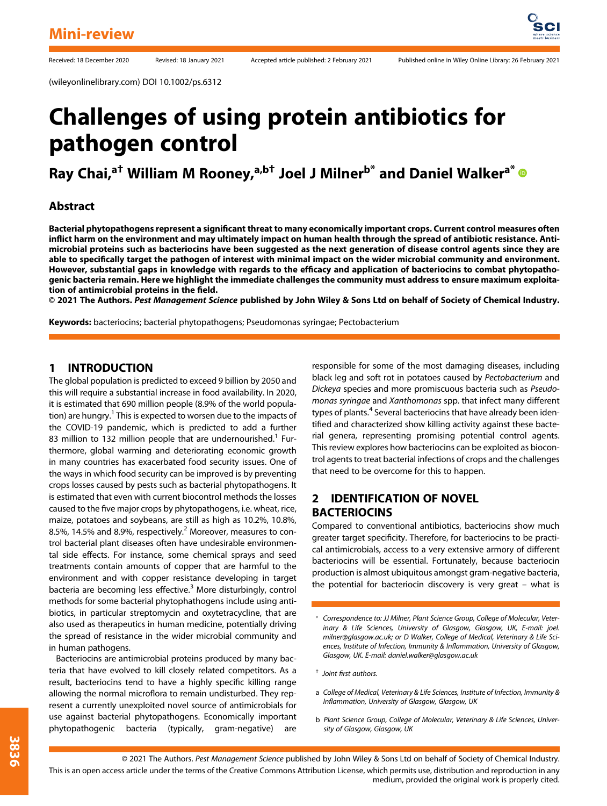(wileyonlinelibrary.com) DOI 10.1002/ps.6312

# Challenges of using protein antibiotics for pathogen control

Ray Chai,<sup>a†</sup> William M Rooney,<sup>a,b†</sup> Joel J Milner<sup>b\*</sup> and Daniel Walker<sup>a\*</sup> ®

#### Abstract

Bacterial phytopathogens represent a significant threat to many economically important crops. Current control measures often inflict harm on the environment and may ultimately impact on human health through the spread of antibiotic resistance. Antimicrobial proteins such as bacteriocins have been suggested as the next generation of disease control agents since they are able to specifically target the pathogen of interest with minimal impact on the wider microbial community and environment. However, substantial gaps in knowledge with regards to the efficacy and application of bacteriocins to combat phytopathogenic bacteria remain. Here we highlight the immediate challenges the community must address to ensure maximum exploitation of antimicrobial proteins in the field.

© 2021 The Authors. Pest Management Science published by John Wiley & Sons Ltd on behalf of Society of Chemical Industry.

Keywords: bacteriocins; bacterial phytopathogens; Pseudomonas syringae; Pectobacterium

#### 1 INTRODUCTION

The global population is predicted to exceed 9 billion by 2050 and this will require a substantial increase in food availability. In 2020, it is estimated that 690 million people (8.9% of the world population) are hungry.<sup>1</sup> This is expected to worsen due to the impacts of the COVID-19 pandemic, which is predicted to add a further 83 million to 132 million people that are undernourished.<sup>1</sup> Furthermore, global warming and deteriorating economic growth in many countries has exacerbated food security issues. One of the ways in which food security can be improved is by preventing crops losses caused by pests such as bacterial phytopathogens. It is estimated that even with current biocontrol methods the losses caused to the five major crops by phytopathogens, i.e. wheat, rice, maize, potatoes and soybeans, are still as high as 10.2%, 10.8%, 8.5%, 14.5% and 8.9%, respectively.<sup>2</sup> Moreover, measures to control bacterial plant diseases often have undesirable environmental side effects. For instance, some chemical sprays and seed treatments contain amounts of copper that are harmful to the environment and with copper resistance developing in target bacteria are becoming less effective.<sup>3</sup> More disturbingly, control methods for some bacterial phytophathogens include using antibiotics, in particular streptomycin and oxytetracycline, that are also used as therapeutics in human medicine, potentially driving the spread of resistance in the wider microbial community and in human pathogens.

Bacteriocins are antimicrobial proteins produced by many bacteria that have evolved to kill closely related competitors. As a result, bacteriocins tend to have a highly specific killing range allowing the normal microflora to remain undisturbed. They represent a currently unexploited novel source of antimicrobials for use against bacterial phytopathogens. Economically important phytopathogenic bacteria (typically, gram-negative) are

responsible for some of the most damaging diseases, including black leg and soft rot in potatoes caused by Pectobacterium and Dickeya species and more promiscuous bacteria such as Pseudomonas syringae and Xanthomonas spp. that infect many different types of plants.<sup>4</sup> Several bacteriocins that have already been identified and characterized show killing activity against these bacterial genera, representing promising potential control agents. This review explores how bacteriocins can be exploited as biocontrol agents to treat bacterial infections of crops and the challenges that need to be overcome for this to happen.

#### 2 IDENTIFICATION OF NOVEL **BACTERIOCINS**

Compared to conventional antibiotics, bacteriocins show much greater target specificity. Therefore, for bacteriocins to be practical antimicrobials, access to a very extensive armory of different bacteriocins will be essential. Fortunately, because bacteriocin production is almost ubiquitous amongst gram-negative bacteria, the potential for bacteriocin discovery is very great – what is

- † Joint first authors.
- a College of Medical, Veterinary & Life Sciences, Institute of Infection, Immunity & Inflammation, University of Glasgow, Glasgow, UK
- b Plant Science Group, College of Molecular, Veterinary & Life Sciences, University of Glasgow, Glasgow, UK

Correspondence to: JJ Milner, Plant Science Group, College of Molecular, Veterinary & Life Sciences, University of Glasgow, Glasgow, UK, E-mail: [joel.](mailto:joel.milner@glasgow.ac.uk) [milner@glasgow.ac.uk](mailto:joel.milner@glasgow.ac.uk); or D Walker, College of Medical, Veterinary & Life Sciences, Institute of Infection, Immunity & Inflammation, University of Glasgow, Glasgow, UK. E-mail: [daniel.walker@glasgow.ac.uk](mailto:daniel.walker@glasgow.ac.uk)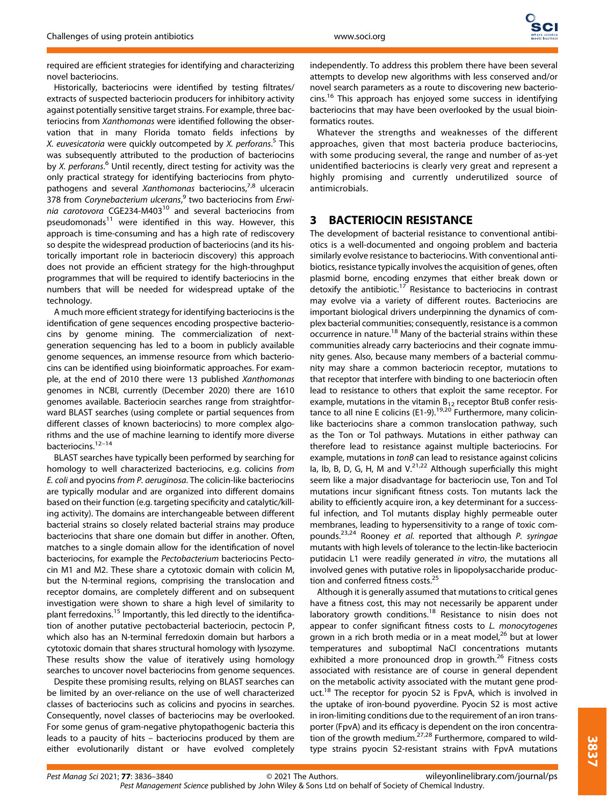required are efficient strategies for identifying and characterizing novel bacteriocins.

Historically, bacteriocins were identified by testing filtrates/ extracts of suspected bacteriocin producers for inhibitory activity against potentially sensitive target strains. For example, three bacteriocins from Xanthomonas were identified following the observation that in many Florida tomato fields infections by X. euvesicatoria were quickly outcompeted by X. perforans.<sup>5</sup> This was subsequently attributed to the production of bacteriocins by X. perforans.<sup>6</sup> Until recently, direct testing for activity was the only practical strategy for identifying bacteriocins from phytopathogens and several Xanthomonas bacteriocins, $7,8$  ulceracin 378 from Corynebacterium ulcerans,<sup>9</sup> two bacteriocins from Erwinia carotovora CGE234-M403 $^{10}$  and several bacteriocins from pseudomonads<sup>11</sup> were identified in this way. However, this approach is time-consuming and has a high rate of rediscovery so despite the widespread production of bacteriocins (and its historically important role in bacteriocin discovery) this approach does not provide an efficient strategy for the high-throughput programmes that will be required to identify bacteriocins in the numbers that will be needed for widespread uptake of the technology.

A much more efficient strategy for identifying bacteriocins is the identification of gene sequences encoding prospective bacteriocins by genome mining. The commercialization of nextgeneration sequencing has led to a boom in publicly available genome sequences, an immense resource from which bacteriocins can be identified using bioinformatic approaches. For example, at the end of 2010 there were 13 published Xanthomonas genomes in NCBI, currently (December 2020) there are 1610 genomes available. Bacteriocin searches range from straightforward BLAST searches (using complete or partial sequences from different classes of known bacteriocins) to more complex algorithms and the use of machine learning to identify more diverse bacteriocins.12–<sup>14</sup>

BLAST searches have typically been performed by searching for homology to well characterized bacteriocins, e.g. colicins from E. coli and pyocins from P. aeruginosa. The colicin-like bacteriocins are typically modular and are organized into different domains based on their function (e.g. targeting specificity and catalytic/killing activity). The domains are interchangeable between different bacterial strains so closely related bacterial strains may produce bacteriocins that share one domain but differ in another. Often, matches to a single domain allow for the identification of novel bacteriocins, for example the Pectobacterium bacteriocins Pectocin M1 and M2. These share a cytotoxic domain with colicin M, but the N-terminal regions, comprising the translocation and receptor domains, are completely different and on subsequent investigation were shown to share a high level of similarity to plant ferredoxins.<sup>15</sup> Importantly, this led directly to the identification of another putative pectobacterial bacteriocin, pectocin P, which also has an N-terminal ferredoxin domain but harbors a cytotoxic domain that shares structural homology with lysozyme. These results show the value of iteratively using homology searches to uncover novel bacteriocins from genome sequences.

Despite these promising results, relying on BLAST searches can be limited by an over-reliance on the use of well characterized classes of bacteriocins such as colicins and pyocins in searches. Consequently, novel classes of bacteriocins may be overlooked. For some genus of gram-negative phytopathogenic bacteria this leads to a paucity of hits – bacteriocins produced by them are either evolutionarily distant or have evolved completely

independently. To address this problem there have been several attempts to develop new algorithms with less conserved and/or novel search parameters as a route to discovering new bacteriocins.<sup>16</sup> This approach has enjoyed some success in identifying bacteriocins that may have been overlooked by the usual bioinformatics routes.

Whatever the strengths and weaknesses of the different approaches, given that most bacteria produce bacteriocins, with some producing several, the range and number of as-yet unidentified bacteriocins is clearly very great and represent a highly promising and currently underutilized source of antimicrobials.

#### 3 BACTERIOCIN RESISTANCE

The development of bacterial resistance to conventional antibiotics is a well-documented and ongoing problem and bacteria similarly evolve resistance to bacteriocins. With conventional antibiotics, resistance typically involves the acquisition of genes, often plasmid borne, encoding enzymes that either break down or detoxify the antibiotic.<sup>17</sup> Resistance to bacteriocins in contrast may evolve via a variety of different routes. Bacteriocins are important biological drivers underpinning the dynamics of complex bacterial communities; consequently, resistance is a common occurrence in nature.<sup>18</sup> Many of the bacterial strains within these communities already carry bacteriocins and their cognate immunity genes. Also, because many members of a bacterial community may share a common bacteriocin receptor, mutations to that receptor that interfere with binding to one bacteriocin often lead to resistance to others that exploit the same receptor. For example, mutations in the vitamin  $B_{12}$  receptor BtuB confer resistance to all nine E colicins (E1-9).<sup>19,20</sup> Furthermore, many colicinlike bacteriocins share a common translocation pathway, such as the Ton or Tol pathways. Mutations in either pathway can therefore lead to resistance against multiple bacteriocins. For example, mutations in tonB can lead to resistance against colicins Ia, Ib, B, D, G, H, M and V.<sup>21,22</sup> Although superficially this might seem like a major disadvantage for bacteriocin use, Ton and Tol mutations incur significant fitness costs. Ton mutants lack the ability to efficiently acquire iron, a key determinant for a successful infection, and Tol mutants display highly permeable outer membranes, leading to hypersensitivity to a range of toxic compounds.23,24 Rooney et al. reported that although P. syringae mutants with high levels of tolerance to the lectin-like bacteriocin putidacin L1 were readily generated in vitro, the mutations all involved genes with putative roles in lipopolysaccharide production and conferred fitness costs.<sup>25</sup>

Although it is generally assumed that mutations to critical genes have a fitness cost, this may not necessarily be apparent under laboratory growth conditions.<sup>18</sup> Resistance to nisin does not appear to confer significant fitness costs to L. monocytogenes grown in a rich broth media or in a meat model, $^{26}$  but at lower temperatures and suboptimal NaCl concentrations mutants exhibited a more pronounced drop in growth.<sup>26</sup> Fitness costs associated with resistance are of course in general dependent on the metabolic activity associated with the mutant gene product.<sup>18</sup> The receptor for pyocin S2 is FpvA, which is involved in the uptake of iron-bound pyoverdine. Pyocin S2 is most active in iron-limiting conditions due to the requirement of an iron transporter (FpvA) and its efficacy is dependent on the iron concentration of the growth medium.<sup>27,28</sup> Furthermore, compared to wildtype strains pyocin S2-resistant strains with FpvA mutations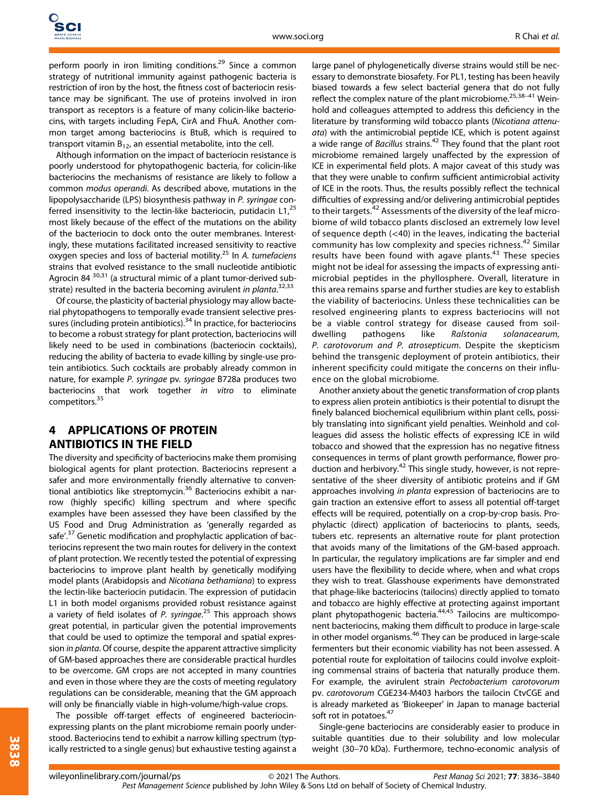perform poorly in iron limiting conditions.<sup>29</sup> Since a common strategy of nutritional immunity against pathogenic bacteria is restriction of iron by the host, the fitness cost of bacteriocin resistance may be significant. The use of proteins involved in iron transport as receptors is a feature of many colicin-like bacteriocins, with targets including FepA, CirA and FhuA. Another common target among bacteriocins is BtuB, which is required to transport vitamin  $B_{12}$ , an essential metabolite, into the cell.

Although information on the impact of bacteriocin resistance is poorly understood for phytopathogenic bacteria, for colicin-like bacteriocins the mechanisms of resistance are likely to follow a common modus operandi. As described above, mutations in the lipopolysaccharide (LPS) biosynthesis pathway in P. syringae conferred insensitivity to the lectin-like bacteriocin, putidacin L1,<sup>25</sup> most likely because of the effect of the mutations on the ability of the bacteriocin to dock onto the outer membranes. Interestingly, these mutations facilitated increased sensitivity to reactive oxygen species and loss of bacterial motility.<sup>25</sup> In A. tumefaciens strains that evolved resistance to the small nucleotide antibiotic Agrocin 84<sup>30,31</sup> (a structural mimic of a plant tumor-derived substrate) resulted in the bacteria becoming avirulent in planta.<sup>32,33</sup>

Of course, the plasticity of bacterial physiology may allow bacterial phytopathogens to temporally evade transient selective pressures (including protein antibiotics).<sup>34</sup> In practice, for bacteriocins to become a robust strategy for plant protection, bacteriocins will likely need to be used in combinations (bacteriocin cocktails), reducing the ability of bacteria to evade killing by single-use protein antibiotics. Such cocktails are probably already common in nature, for example P. syringae pv. syringae B728a produces two bacteriocins that work together in vitro to eliminate competitors.<sup>35</sup>

## 4 APPLICATIONS OF PROTEIN ANTIBIOTICS IN THE FIELD

The diversity and specificity of bacteriocins make them promising biological agents for plant protection. Bacteriocins represent a safer and more environmentally friendly alternative to conventional antibiotics like streptomycin.<sup>36</sup> Bacteriocins exhibit a narrow (highly specific) killing spectrum and where specific examples have been assessed they have been classified by the US Food and Drug Administration as 'generally regarded as safe'.<sup>37</sup> Genetic modification and prophylactic application of bacteriocins represent the two main routes for delivery in the context of plant protection. We recently tested the potential of expressing bacteriocins to improve plant health by genetically modifying model plants (Arabidopsis and Nicotiana bethamiana) to express the lectin-like bacteriocin putidacin. The expression of putidacin L1 in both model organisms provided robust resistance against a variety of field isolates of P. syringae.<sup>25</sup> This approach shows great potential, in particular given the potential improvements that could be used to optimize the temporal and spatial expression in planta. Of course, despite the apparent attractive simplicity of GM-based approaches there are considerable practical hurdles to be overcome. GM crops are not accepted in many countries and even in those where they are the costs of meeting regulatory regulations can be considerable, meaning that the GM approach will only be financially viable in high-volume/high-value crops.

The possible off-target effects of engineered bacteriocinexpressing plants on the plant microbiome remain poorly understood. Bacteriocins tend to exhibit a narrow killing spectrum (typically restricted to a single genus) but exhaustive testing against a large panel of phylogenetically diverse strains would still be necessary to demonstrate biosafety. For PL1, testing has been heavily biased towards a few select bacterial genera that do not fully reflect the complex nature of the plant microbiome.25,38–<sup>41</sup> Weinhold and colleagues attempted to address this deficiency in the literature by transforming wild tobacco plants (Nicotiana attenuata) with the antimicrobial peptide ICE, which is potent against a wide range of Bacillus strains.<sup>42</sup> They found that the plant root microbiome remained largely unaffected by the expression of ICE in experimental field plots. A major caveat of this study was that they were unable to confirm sufficient antimicrobial activity of ICE in the roots. Thus, the results possibly reflect the technical difficulties of expressing and/or delivering antimicrobial peptides to their targets.<sup>42</sup> Assessments of the diversity of the leaf microbiome of wild tobacco plants disclosed an extremely low level of sequence depth  $(<$  40) in the leaves, indicating the bacterial community has low complexity and species richness.<sup>42</sup> Similar results have been found with agave plants.<sup>43</sup> These species might not be ideal for assessing the impacts of expressing antimicrobial peptides in the phyllosphere. Overall, literature in this area remains sparse and further studies are key to establish the viability of bacteriocins. Unless these technicalities can be resolved engineering plants to express bacteriocins will not be a viable control strategy for disease caused from soildwelling pathogens like Ralstonia solanacearum, P. carotovorum and P. atrosepticum. Despite the skepticism behind the transgenic deployment of protein antibiotics, their inherent specificity could mitigate the concerns on their influence on the global microbiome.

Another anxiety about the genetic transformation of crop plants to express alien protein antibiotics is their potential to disrupt the finely balanced biochemical equilibrium within plant cells, possibly translating into significant yield penalties. Weinhold and colleagues did assess the holistic effects of expressing ICE in wild tobacco and showed that the expression has no negative fitness consequences in terms of plant growth performance, flower production and herbivory.<sup>42</sup> This single study, however, is not representative of the sheer diversity of antibiotic proteins and if GM approaches involving in planta expression of bacteriocins are to gain traction an extensive effort to assess all potential off-target effects will be required, potentially on a crop-by-crop basis. Prophylactic (direct) application of bacteriocins to plants, seeds, tubers etc. represents an alternative route for plant protection that avoids many of the limitations of the GM-based approach. In particular, the regulatory implications are far simpler and end users have the flexibility to decide where, when and what crops they wish to treat. Glasshouse experiments have demonstrated that phage-like bacteriocins (tailocins) directly applied to tomato and tobacco are highly effective at protecting against important plant phytopathogenic bacteria.<sup>44,45</sup> Tailocins are multicomponent bacteriocins, making them difficult to produce in large-scale in other model organisms.<sup>46</sup> They can be produced in large-scale fermenters but their economic viability has not been assessed. A potential route for exploitation of tailocins could involve exploiting commensal strains of bacteria that naturally produce them. For example, the avirulent strain Pectobacterium carotovorum pv. carotovorum CGE234-M403 harbors the tailocin CtvCGE and is already marketed as 'Biokeeper' in Japan to manage bacterial soft rot in potatoes.<sup>47</sup>

Single-gene bacteriocins are considerably easier to produce in suitable quantities due to their solubility and low molecular weight (30–70 kDa). Furthermore, techno-economic analysis of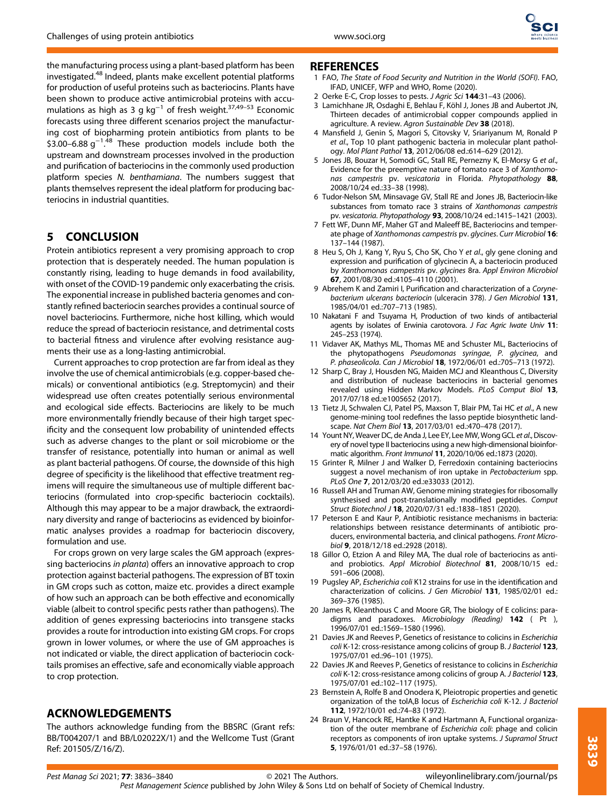

the manufacturing process using a plant-based platform has been investigated.<sup>48</sup> Indeed, plants make excellent potential platforms for production of useful proteins such as bacteriocins. Plants have been shown to produce active antimicrobial proteins with accumulations as high as 3 g kg<sup>-1</sup> of fresh weight.<sup>37,49–53</sup> Economic forecasts using three different scenarios project the manufacturing cost of biopharming protein antibiotics from plants to be \$3.00–6.88  $g^{-1.48}$  These production models include both the . upstream and downstream processes involved in the production and purification of bacteriocins in the commonly used production platform species N. benthamiana. The numbers suggest that plants themselves represent the ideal platform for producing bacteriocins in industrial quantities.

## 5 CONCLUSION

Protein antibiotics represent a very promising approach to crop protection that is desperately needed. The human population is constantly rising, leading to huge demands in food availability, with onset of the COVID-19 pandemic only exacerbating the crisis. The exponential increase in published bacteria genomes and constantly refined bacteriocin searches provides a continual source of novel bacteriocins. Furthermore, niche host killing, which would reduce the spread of bacteriocin resistance, and detrimental costs to bacterial fitness and virulence after evolving resistance augments their use as a long-lasting antimicrobial.

Current approaches to crop protection are far from ideal as they involve the use of chemical antimicrobials (e.g. copper-based chemicals) or conventional antibiotics (e.g. Streptomycin) and their widespread use often creates potentially serious environmental and ecological side effects. Bacteriocins are likely to be much more environmentally friendly because of their high target specificity and the consequent low probability of unintended effects such as adverse changes to the plant or soil microbiome or the transfer of resistance, potentially into human or animal as well as plant bacterial pathogens. Of course, the downside of this high degree of specificity is the likelihood that effective treatment regimens will require the simultaneous use of multiple different bacteriocins (formulated into crop-specific bacteriocin cocktails). Although this may appear to be a major drawback, the extraordinary diversity and range of bacteriocins as evidenced by bioinformatic analyses provides a roadmap for bacteriocin discovery, formulation and use.

For crops grown on very large scales the GM approach (expressing bacteriocins in planta) offers an innovative approach to crop protection against bacterial pathogens. The expression of BT toxin in GM crops such as cotton, maize etc. provides a direct example of how such an approach can be both effective and economically viable (albeit to control specific pests rather than pathogens). The addition of genes expressing bacteriocins into transgene stacks provides a route for introduction into existing GM crops. For crops grown in lower volumes, or where the use of GM approaches is not indicated or viable, the direct application of bacteriocin cocktails promises an effective, safe and economically viable approach to crop protection.

## ACKNOWLEDGEMENTS

The authors acknowledge funding from the BBSRC (Grant refs: BB/T004207/1 and BB/L02022X/1) and the Wellcome Tust (Grant Ref: 201505/Z/16/Z).

#### REFERENCES

- 1 FAO, The State of Food Security and Nutrition in the World (SOFI). FAO, IFAD, UNICEF, WFP and WHO, Rome (2020).
- 2 Oerke E-C, Crop losses to pests. J Agric Sci 144:31-43 (2006).
- 3 Lamichhane JR, Osdaghi E, Behlau F, Köhl J, Jones JB and Aubertot JN, Thirteen decades of antimicrobial copper compounds applied in agriculture. A review. Agron Sustainable Dev 38 (2018).
- 4 Mansfield J, Genin S, Magori S, Citovsky V, Sriariyanum M, Ronald P et al., Top 10 plant pathogenic bacteria in molecular plant pathology. Mol Plant Pathol 13, 2012/06/08 ed.:614–629 (2012).
- 5 Jones JB, Bouzar H, Somodi GC, Stall RE, Pernezny K, El-Morsy G et al., Evidence for the preemptive nature of tomato race 3 of Xanthomonas campestris pv. vesicatoria in Florida. Phytopathology 88, 2008/10/24 ed.:33–38 (1998).
- 6 Tudor-Nelson SM, Minsavage GV, Stall RE and Jones JB, Bacteriocin-like substances from tomato race 3 strains of Xanthomonas campestris pv. vesicatoria. Phytopathology 93, 2008/10/24 ed.:1415–1421 (2003).
- 7 Fett WF, Dunn MF, Maher GT and Maleeff BE, Bacteriocins and temperate phage of Xanthomonas campestris pv. glycines. Curr Microbiol 16: 137–144 (1987).
- 8 Heu S, Oh J, Kang Y, Ryu S, Cho SK, Cho Y et al., gly gene cloning and expression and purification of glycinecin A, a bacteriocin produced by Xanthomonas campestris pv. glycines 8ra. Appl Environ Microbiol 67, 2001/08/30 ed.:4105–4110 (2001).
- 9 Abrehem K and Zamiri I, Purification and characterization of a Corynebacterium ulcerans bacteriocin (ulceracin 378). J Gen Microbiol 131, 1985/04/01 ed.:707–713 (1985).
- 10 Nakatani F and Tsuyama H, Production of two kinds of antibacterial agents by isolates of Erwinia carotovora. J Fac Agric Iwate Univ 11: 245–253 (1974).
- 11 Vidaver AK, Mathys ML, Thomas ME and Schuster ML, Bacteriocins of the phytopathogens Pseudomonas syringae, P. glycinea, and P. phaseolicola. Can J Microbiol 18, 1972/06/01 ed.:705–713 (1972).
- 12 Sharp C, Bray J, Housden NG, Maiden MCJ and Kleanthous C, Diversity and distribution of nuclease bacteriocins in bacterial genomes revealed using Hidden Markov Models. PLoS Comput Biol 13, 2017/07/18 ed.:e1005652 (2017).
- 13 Tietz Jl, Schwalen CJ, Patel PS, Maxson T, Blair PM, Tai HC et al., A new genome-mining tool redefines the lasso peptide biosynthetic landscape. Nat Chem Biol 13, 2017/03/01 ed.:470–478 (2017).
- 14 Yount NY, Weaver DC, de Anda J, Lee EY, Lee MW, Wong GCL et al., Discovery of novel type II bacteriocins using a new high-dimensional bioinformatic algorithm. Front Immunol 11, 2020/10/06 ed.:1873 (2020).
- 15 Grinter R, Milner J and Walker D, Ferredoxin containing bacteriocins suggest a novel mechanism of iron uptake in Pectobacterium spp. PLoS One 7, 2012/03/20 ed.:e33033 (2012).
- 16 Russell AH and Truman AW, Genome mining strategies for ribosomally synthesised and post-translationally modified peptides. Comput Struct Biotechnol J 18, 2020/07/31 ed.:1838–1851 (2020).
- 17 Peterson E and Kaur P, Antibiotic resistance mechanisms in bacteria: relationships between resistance determinants of antibiotic producers, environmental bacteria, and clinical pathogens. Front Microbiol 9, 2018/12/18 ed.:2928 (2018).
- 18 Gillor O, Etzion A and Riley MA, The dual role of bacteriocins as antiand probiotics. Appl Microbiol Biotechnol 81, 2008/10/15 ed.: 591–606 (2008).
- 19 Pugsley AP, Escherichia coli K12 strains for use in the identification and characterization of colicins. J Gen Microbiol 131, 1985/02/01 ed.: 369–376 (1985).
- 20 James R, Kleanthous C and Moore GR, The biology of E colicins: paradigms and paradoxes. Microbiology (Reading) 142 (Pt), 1996/07/01 ed.:1569–1580 (1996).
- 21 Davies JK and Reeves P, Genetics of resistance to colicins in Escherichia coli K-12: cross-resistance among colicins of group B. J Bacteriol 123, 1975/07/01 ed.:96–101 (1975).
- 22 Davies JK and Reeves P, Genetics of resistance to colicins in Escherichia coli K-12: cross-resistance among colicins of group A. J Bacteriol 123, 1975/07/01 ed.:102–117 (1975).
- 23 Bernstein A, Rolfe B and Onodera K, Pleiotropic properties and genetic organization of the tolA,B locus of Escherichia coli K-12. J Bacteriol 112, 1972/10/01 ed.:74–83 (1972).
- 24 Braun V, Hancock RE, Hantke K and Hartmann A, Functional organization of the outer membrane of Escherichia coli: phage and colicin receptors as components of iron uptake systems. J Supramol Struct 5, 1976/01/01 ed.:37–58 (1976).